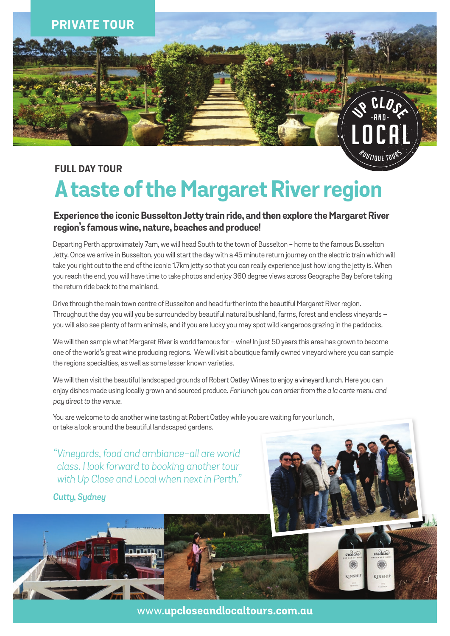

### **FULL DAY TOUR**

# **A taste of the Margaret River region**

### **Experience the iconic Busselton Jetty train ride, and then explore the Margaret River region's famous wine, nature, beaches and produce!**

Departing Perth approximately 7am, we will head South to the town of Busselton - home to the famous Busselton Jetty. Once we arrive in Busselton, you will start the day with a 45 minute return journey on the electric train which will take you right out to the end of the iconic 1.7km jetty so that you can really experience just how long the jetty is. When you reach the end, you will have time to take photos and enjoy 360 degree views across Geographe Bay before taking the return ride back to the mainland.

Drive through the main town centre of Busselton and head further into the beautiful Margaret River region. Throughout the day you will you be surrounded by beautiful natural bushland, farms, forest and endless vineyards – you will also see plenty of farm animals, and if you are lucky you may spot wild kangaroos grazing in the paddocks.

We will then sample what Margaret River is world famous for - wine! In just 50 years this area has grown to become one of the world's great wine producing regions. We will visit a boutique family owned vineyard where you can sample the regions specialties, as well as some lesser known varieties.

We will then visit the beautiful landscaped grounds of Robert Oatley Wines to enjoy a vineyard lunch. Here you can enjoy dishes made using locally grown and sourced produce. *For lunch you can order from the a la carte menu and pay direct to the venue.* 

You are welcome to do another wine tasting at Robert Oatley while you are waiting for your lunch, or take a look around the beautiful landscaped gardens.

*"Vineyards, food and ambiance-all are world class. I look forward to booking another tour with Up Close and Local when next in Perth."*

*Cutty, Sydney*

www.**upcloseandlocaltours.com.au**

credare

KINSHIP

crede

KINSH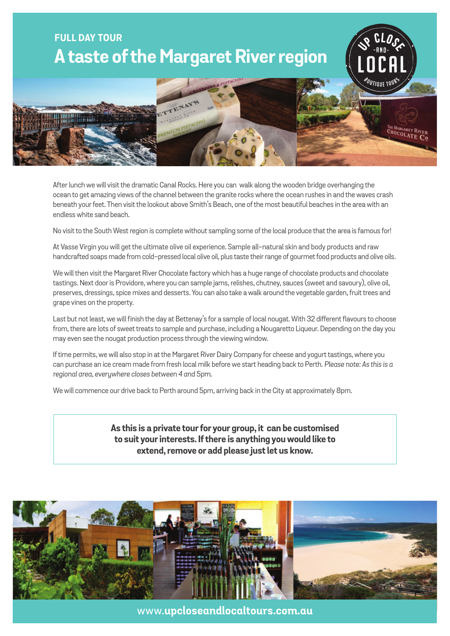## **FULL DAY TOUR A taste of the Margaret River region**



After lunch we will visit the dramatic Canal Rocks. Here you can walk along the wooden bridge overhanging the ocean to get amazing views of the channel between the granite rocks where the ocean rushes in and the waves crash beneath your feet. Then visit the lookout above Smith's Beach, one of the most beautiful beaches in the area with an endless white sand beach.

No visit to the South West region is complete without sampling some of the local produce that the area is famous for!

At Vasse Virgin you will get the ultimate olive oil experience. Sample all-natural skin and body products and raw handcrafted soaps made from cold-pressed local olive oil, plus taste their range of gourmet food products and olive oils.

We will then visit the Margaret River Chocolate factory which has a huge range of chocolate products and chocolate tastings. Next door is Providore, where you can sample jams, relishes, chutney, sauces (sweet and savoury), olive oil, preserves, dressings, spice mixes and desserts. You can also take a walk around the vegetable garden, fruit trees and grape vines on the property.

Last but not least, we will finish the day at Bettenay's for a sample of local nougat. With 32 different flavours to choose from, there are lots of sweet treats to sample and purchase, including a Nougaretto Liqueur. Depending on the day you may even see the nougat production process through the viewing window.

If time permits, we will also stop in at the Margaret River Dairy Company for cheese and yogurt tastings, where you can purchase an ice cream made from fresh local milk before we start heading back to Perth. *Please note: As this is a regional area, everywhere closes between 4 and 5pm.*

We will commence our drive back to Perth around 5pm, arriving back in the City at approximately 8pm.

**As this is a private tour for your group, it can be customised to suit your interests. If there is anything you would like to extend, remove or add please just let us know.**



www.**upcloseandlocaltours.com.au**